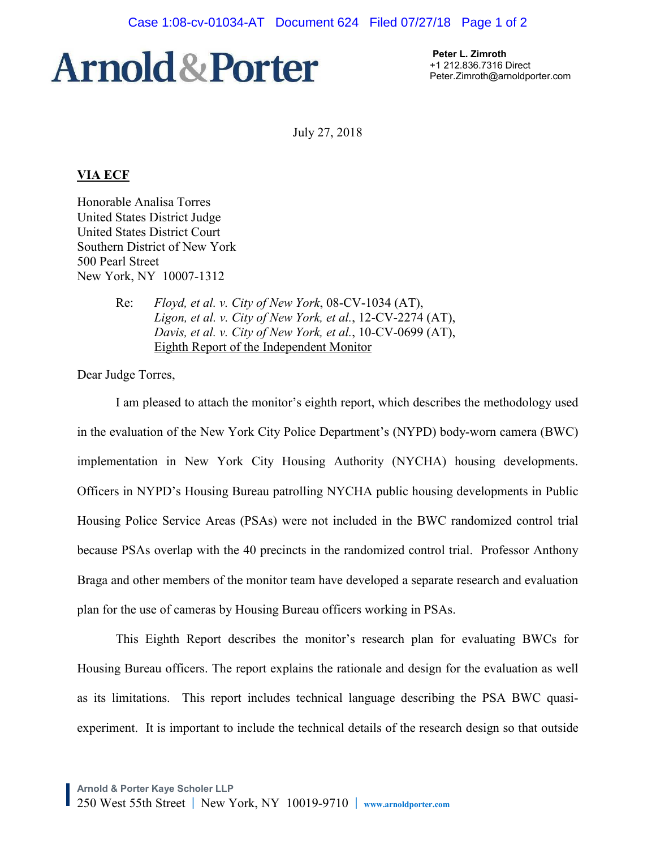# **Arnold & Porter**

 **Peter L. Zimroth**  +1 212.836.7316 Direct Peter.Zimroth@arnoldporter.com

July 27, 2018

# **VIA ECF**

Honorable Analisa Torres United States District Judge United States District Court Southern District of New York 500 Pearl Street New York, NY 10007-1312

> Re: *Floyd, et al. v. City of New York*, 08-CV-1034 (AT), *Ligon, et al. v. City of New York, et al.*, 12-CV-2274 (AT), *Davis, et al. v. City of New York, et al.*, 10-CV-0699 (AT), Eighth Report of the Independent Monitor

Dear Judge Torres,

I am pleased to attach the monitor's eighth report, which describes the methodology used in the evaluation of the New York City Police Department's (NYPD) body-worn camera (BWC) implementation in New York City Housing Authority (NYCHA) housing developments. Officers in NYPD's Housing Bureau patrolling NYCHA public housing developments in Public Housing Police Service Areas (PSAs) were not included in the BWC randomized control trial because PSAs overlap with the 40 precincts in the randomized control trial. Professor Anthony Braga and other members of the monitor team have developed a separate research and evaluation plan for the use of cameras by Housing Bureau officers working in PSAs.

This Eighth Report describes the monitor's research plan for evaluating BWCs for Housing Bureau officers. The report explains the rationale and design for the evaluation as well as its limitations. This report includes technical language describing the PSA BWC quasiexperiment. It is important to include the technical details of the research design so that outside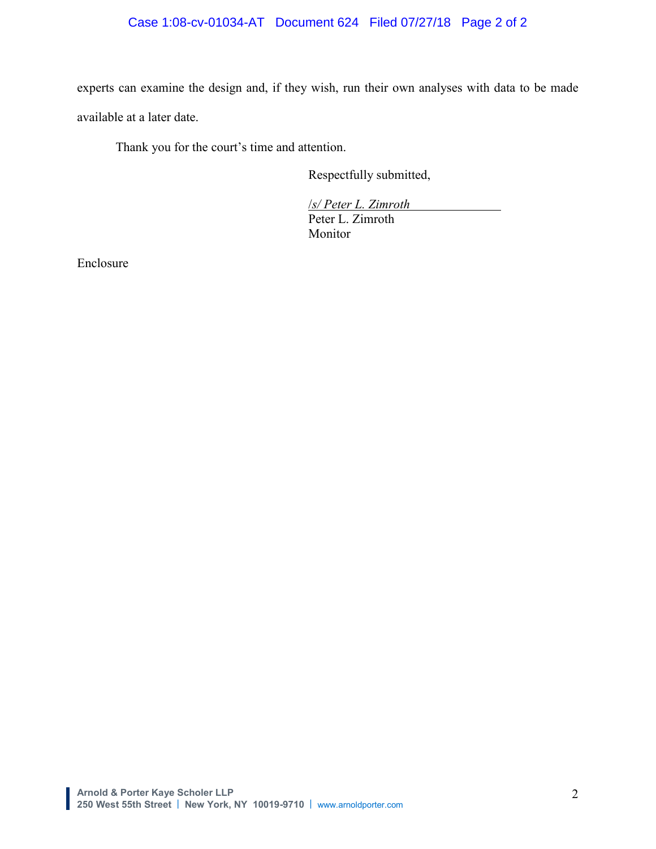# Case 1:08-cv-01034-AT Document 624 Filed 07/27/18 Page 2 of 2

experts can examine the design and, if they wish, run their own analyses with data to be made available at a later date.

Thank you for the court's time and attention.

Respectfully submitted,

/*s/ Peter L. Zimroth* Peter L. Zimroth Monitor

Enclosure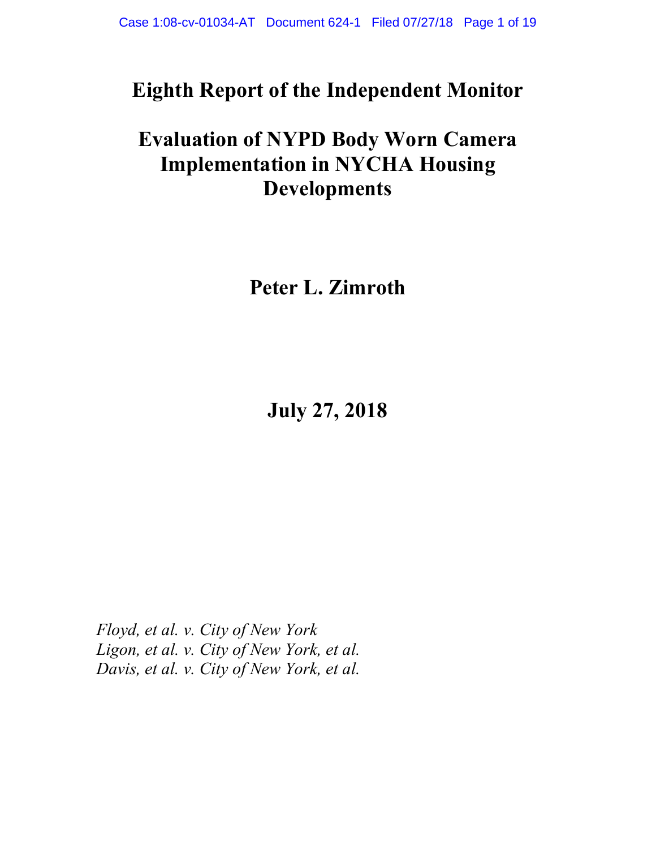# **Eighth Report of the Independent Monitor**

# **Evaluation of NYPD Body Worn Camera Implementation in NYCHA Housing Developments**

**Peter L. Zimroth** 

**July 27, 2018** 

*Floyd, et al. v. City of New York Ligon, et al. v. City of New York, et al. Davis, et al. v. City of New York, et al.*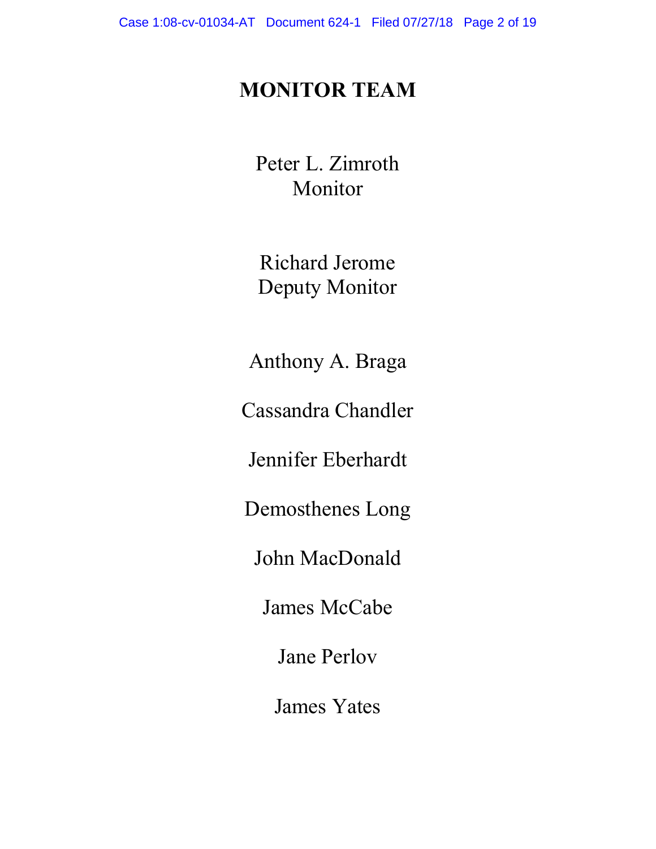# **MONITOR TEAM**

Peter L. Zimroth Monitor

Richard Jerome Deputy Monitor

Anthony A. Braga

Cassandra Chandler

Jennifer Eberhardt

Demosthenes Long

John MacDonald

James McCabe

Jane Perlov

James Yates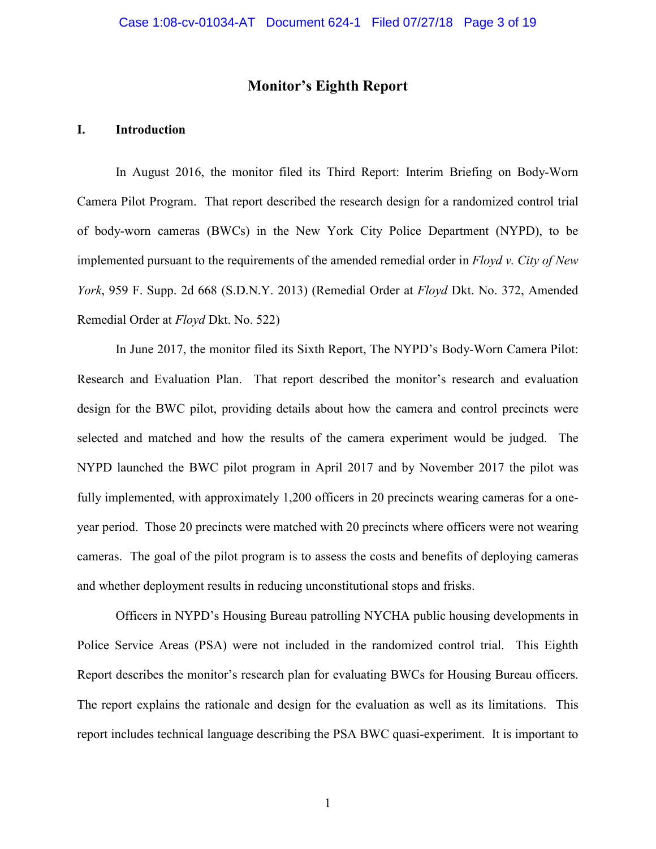# **Monitor's Eighth Report**

# **I. Introduction**

In August 2016, the monitor filed its Third Report: Interim Briefing on Body-Worn Camera Pilot Program. That report described the research design for a randomized control trial of body-worn cameras (BWCs) in the New York City Police Department (NYPD), to be implemented pursuant to the requirements of the amended remedial order in *Floyd v. City of New York*, 959 F. Supp. 2d 668 (S.D.N.Y. 2013) (Remedial Order at *Floyd* Dkt. No. 372, Amended Remedial Order at *Floyd* Dkt. No. 522)

In June 2017, the monitor filed its Sixth Report, The NYPD's Body-Worn Camera Pilot: Research and Evaluation Plan. That report described the monitor's research and evaluation design for the BWC pilot, providing details about how the camera and control precincts were selected and matched and how the results of the camera experiment would be judged. The NYPD launched the BWC pilot program in April 2017 and by November 2017 the pilot was fully implemented, with approximately 1,200 officers in 20 precincts wearing cameras for a oneyear period. Those 20 precincts were matched with 20 precincts where officers were not wearing cameras. The goal of the pilot program is to assess the costs and benefits of deploying cameras and whether deployment results in reducing unconstitutional stops and frisks.

Officers in NYPD's Housing Bureau patrolling NYCHA public housing developments in Police Service Areas (PSA) were not included in the randomized control trial. This Eighth Report describes the monitor's research plan for evaluating BWCs for Housing Bureau officers. The report explains the rationale and design for the evaluation as well as its limitations. This report includes technical language describing the PSA BWC quasi-experiment. It is important to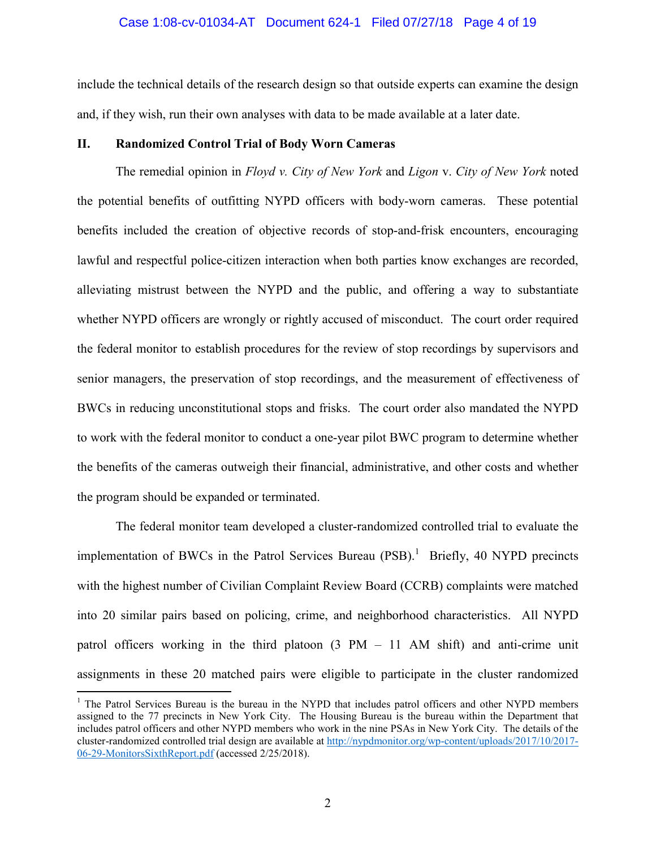#### Case 1:08-cv-01034-AT Document 624-1 Filed 07/27/18 Page 4 of 19

include the technical details of the research design so that outside experts can examine the design and, if they wish, run their own analyses with data to be made available at a later date.

# **II. Randomized Control Trial of Body Worn Cameras**

The remedial opinion in *Floyd v. City of New York* and *Ligon* v. *City of New York* noted the potential benefits of outfitting NYPD officers with body-worn cameras. These potential benefits included the creation of objective records of stop-and-frisk encounters, encouraging lawful and respectful police-citizen interaction when both parties know exchanges are recorded, alleviating mistrust between the NYPD and the public, and offering a way to substantiate whether NYPD officers are wrongly or rightly accused of misconduct. The court order required the federal monitor to establish procedures for the review of stop recordings by supervisors and senior managers, the preservation of stop recordings, and the measurement of effectiveness of BWCs in reducing unconstitutional stops and frisks. The court order also mandated the NYPD to work with the federal monitor to conduct a one-year pilot BWC program to determine whether the benefits of the cameras outweigh their financial, administrative, and other costs and whether the program should be expanded or terminated.

The federal monitor team developed a cluster-randomized controlled trial to evaluate the implementation of BWCs in the Patrol Services Bureau  $(PSB)$ .<sup>1</sup> Briefly, 40 NYPD precincts with the highest number of Civilian Complaint Review Board (CCRB) complaints were matched into 20 similar pairs based on policing, crime, and neighborhood characteristics. All NYPD patrol officers working in the third platoon (3 PM – 11 AM shift) and anti-crime unit assignments in these 20 matched pairs were eligible to participate in the cluster randomized

<sup>&</sup>lt;sup>1</sup> The Patrol Services Bureau is the bureau in the NYPD that includes patrol officers and other NYPD members assigned to the 77 precincts in New York City. The Housing Bureau is the bureau within the Department that includes patrol officers and other NYPD members who work in the nine PSAs in New York City. The details of the cluster-randomized controlled trial design are available at http://nypdmonitor.org/wp-content/uploads/2017/10/2017- 06-29-MonitorsSixthReport.pdf (accessed 2/25/2018).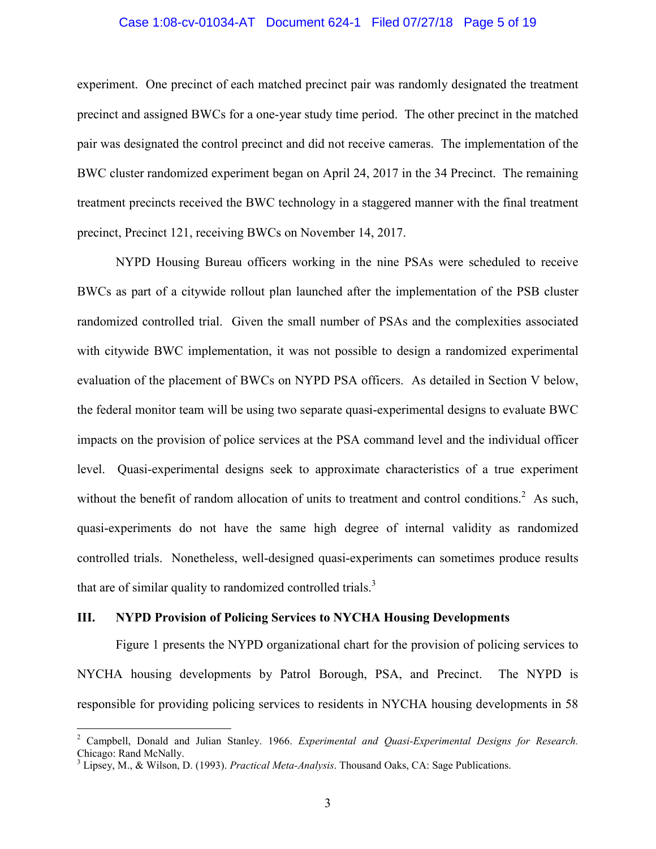# Case 1:08-cv-01034-AT Document 624-1 Filed 07/27/18 Page 5 of 19

experiment. One precinct of each matched precinct pair was randomly designated the treatment precinct and assigned BWCs for a one-year study time period. The other precinct in the matched pair was designated the control precinct and did not receive cameras. The implementation of the BWC cluster randomized experiment began on April 24, 2017 in the 34 Precinct. The remaining treatment precincts received the BWC technology in a staggered manner with the final treatment precinct, Precinct 121, receiving BWCs on November 14, 2017.

NYPD Housing Bureau officers working in the nine PSAs were scheduled to receive BWCs as part of a citywide rollout plan launched after the implementation of the PSB cluster randomized controlled trial. Given the small number of PSAs and the complexities associated with citywide BWC implementation, it was not possible to design a randomized experimental evaluation of the placement of BWCs on NYPD PSA officers. As detailed in Section V below, the federal monitor team will be using two separate quasi-experimental designs to evaluate BWC impacts on the provision of police services at the PSA command level and the individual officer level. Quasi-experimental designs seek to approximate characteristics of a true experiment without the benefit of random allocation of units to treatment and control conditions.<sup>2</sup> As such, quasi-experiments do not have the same high degree of internal validity as randomized controlled trials. Nonetheless, well-designed quasi-experiments can sometimes produce results that are of similar quality to randomized controlled trials.<sup>3</sup>

# **III. NYPD Provision of Policing Services to NYCHA Housing Developments**

Figure 1 presents the NYPD organizational chart for the provision of policing services to NYCHA housing developments by Patrol Borough, PSA, and Precinct. The NYPD is responsible for providing policing services to residents in NYCHA housing developments in 58

<sup>2</sup> Campbell, Donald and Julian Stanley. 1966. *Experimental and Quasi-Experimental Designs for Research.* Chicago: Rand McNally.

<sup>3</sup> Lipsey, M., & Wilson, D. (1993). *Practical Meta-Analysis*. Thousand Oaks, CA: Sage Publications.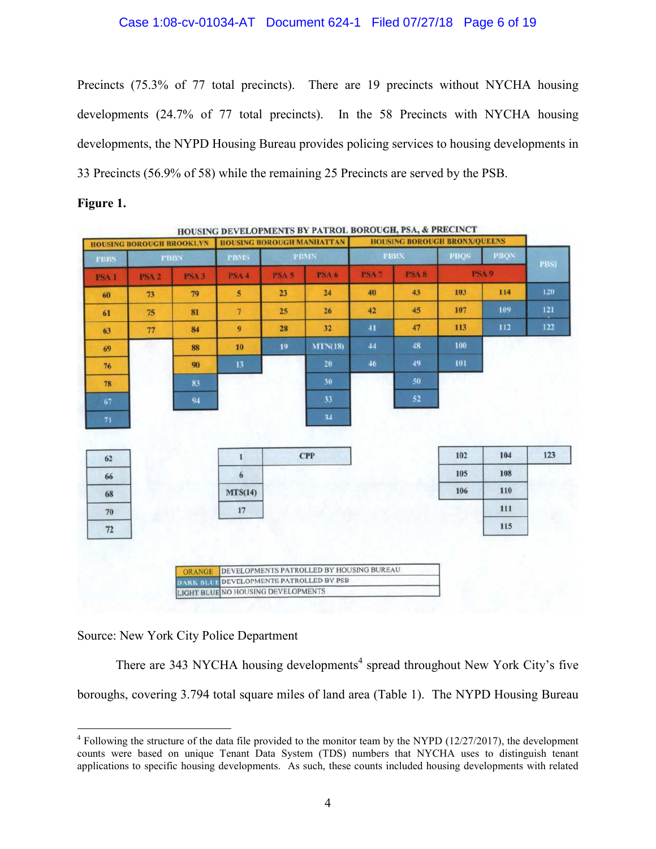Precincts (75.3% of 77 total precincts). There are 19 precincts without NYCHA housing developments (24.7% of 77 total precincts). In the 58 Precincts with NYCHA housing developments, the NYPD Housing Bureau provides policing services to housing developments in 33 Precincts (56.9% of 58) while the remaining 25 Precincts are served by the PSB.

| Figure |  |
|--------|--|
|--------|--|

|             |             |              | <b>HOUSING BOROUGH BRONX/OUEENS</b> |             |                |                  | HOUSING BOROUGH MANHATTAN<br><b>HOUSING BOROUGH BROOKLYN</b> |                  |              |             |  |
|-------------|-------------|--------------|-------------------------------------|-------------|----------------|------------------|--------------------------------------------------------------|------------------|--------------|-------------|--|
| <b>PBSI</b> | <b>PBON</b> | <b>PBOS</b>  |                                     | <b>PBBX</b> | <b>PBMN</b>    |                  | <b>PBMS</b>                                                  | <b>PBBN</b>      |              | <b>PBBS</b> |  |
|             |             | <b>PSA 9</b> | <b>PSA 8</b>                        | <b>PSA7</b> | <b>PSA 6</b>   | PSA <sub>5</sub> | <b>PSA 4</b>                                                 | PSA <sub>3</sub> | <b>PSA 2</b> | <b>PSA1</b> |  |
| 120         | 114         | 103          | 43                                  | 40          | 24             | 23               | 5 <sup>5</sup>                                               | 79               | 73           | 60          |  |
| 121         | 109         | 107          | 45                                  | 42          | 26             | 25               | $7\phantom{.0}$                                              | 81               | 75           | 61          |  |
| 122         | 112         | 113          | 47                                  | 41          | 32             | 28               | $\boldsymbol{9}$                                             | 84               | 77           | 63          |  |
|             |             | 100          | 48                                  | 44          | <b>MTN(18)</b> | 19               | 10                                                           | 88               |              | 69          |  |
|             |             | 101          | 49                                  | 46          | 20             |                  | 13                                                           | 90               |              | 76          |  |
|             |             |              | 50 <sub>1</sub>                     |             | 30             |                  |                                                              | 83               |              | 78          |  |
|             |             |              | 52                                  |             | 33             |                  |                                                              | 94               |              | 67          |  |
|             |             |              |                                     |             | 34             |                  |                                                              |                  |              | 71          |  |
|             |             |              |                                     |             |                |                  |                                                              |                  |              |             |  |
| 123         | 104         | 102          |                                     |             | <b>CPP</b>     |                  | $\mathbf{1}$                                                 |                  |              | 62          |  |
|             | 108         | 105          |                                     |             |                |                  | 6                                                            |                  |              | 66          |  |
|             | 110         | 106          |                                     |             |                |                  | MTS(14)                                                      |                  |              | 68          |  |
|             | 111         |              |                                     |             |                |                  | 17                                                           |                  |              | 70          |  |
|             | 115         |              |                                     |             |                |                  |                                                              |                  |              | $72\,$      |  |
|             |             |              |                                     |             |                |                  |                                                              |                  |              |             |  |

Source: New York City Police Department

There are 343 NYCHA housing developments<sup>4</sup> spread throughout New York City's five boroughs, covering 3.794 total square miles of land area (Table 1). The NYPD Housing Bureau

 $4$  Following the structure of the data file provided to the monitor team by the NYPD (12/27/2017), the development counts were based on unique Tenant Data System (TDS) numbers that NYCHA uses to distinguish tenant applications to specific housing developments. As such, these counts included housing developments with related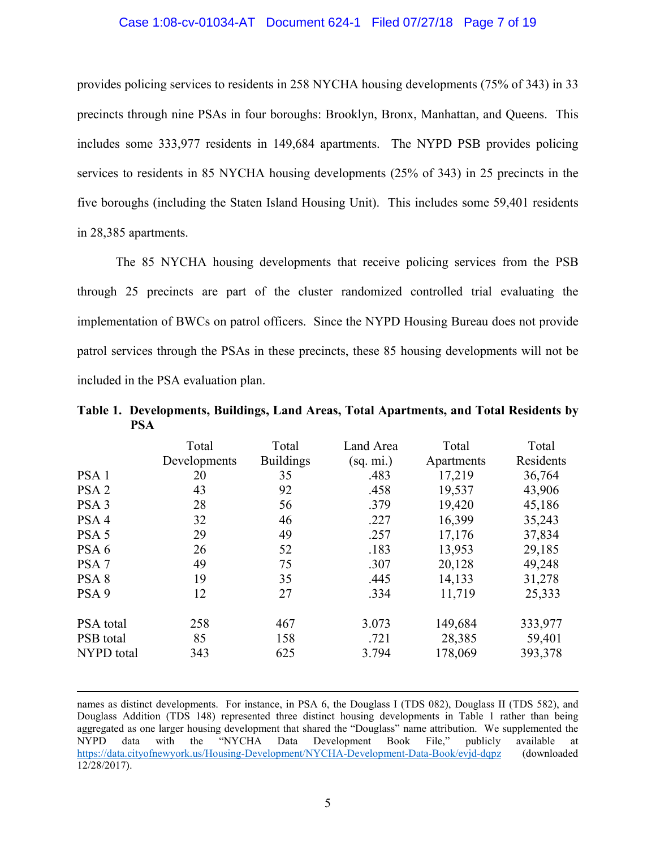## Case 1:08-cv-01034-AT Document 624-1 Filed 07/27/18 Page 7 of 19

provides policing services to residents in 258 NYCHA housing developments (75% of 343) in 33 precincts through nine PSAs in four boroughs: Brooklyn, Bronx, Manhattan, and Queens. This includes some 333,977 residents in 149,684 apartments. The NYPD PSB provides policing services to residents in 85 NYCHA housing developments (25% of 343) in 25 precincts in the five boroughs (including the Staten Island Housing Unit). This includes some 59,401 residents in 28,385 apartments.

The 85 NYCHA housing developments that receive policing services from the PSB through 25 precincts are part of the cluster randomized controlled trial evaluating the implementation of BWCs on patrol officers. Since the NYPD Housing Bureau does not provide patrol services through the PSAs in these precincts, these 85 housing developments will not be included in the PSA evaluation plan.

| Table 1. Developments, Buildings, Land Areas, Total Apartments, and Total Residents by |  |  |  |
|----------------------------------------------------------------------------------------|--|--|--|
| <b>PSA</b>                                                                             |  |  |  |

|                  | Total<br>Developments | Total<br><b>Buildings</b> | Land Area<br>(sq. mi.) | Total<br>Apartments | Total<br>Residents |
|------------------|-----------------------|---------------------------|------------------------|---------------------|--------------------|
| PSA <sub>1</sub> | 20                    | 35                        | .483                   | 17,219              | 36,764             |
| PSA <sub>2</sub> | 43                    | 92                        | .458                   | 19,537              | 43,906             |
| PSA <sub>3</sub> | 28                    | 56                        | .379                   | 19,420              | 45,186             |
| PSA <sub>4</sub> | 32                    | 46                        | .227                   | 16,399              | 35,243             |
| PSA <sub>5</sub> | 29                    | 49                        | .257                   | 17,176              | 37,834             |
| PSA <sub>6</sub> | 26                    | 52                        | .183                   | 13,953              | 29,185             |
| PSA <sub>7</sub> | 49                    | 75                        | .307                   | 20,128              | 49,248             |
| PSA <sub>8</sub> | 19                    | 35                        | .445                   | 14,133              | 31,278             |
| PSA <sub>9</sub> | 12                    | 27                        | .334                   | 11,719              | 25,333             |
| PSA total        | 258                   | 467                       | 3.073                  | 149,684             | 333,977            |
| PSB total        | 85                    | 158                       | .721                   | 28,385              | 59,401             |
| NYPD total       | 343                   | 625                       | 3.794                  | 178,069             | 393,378            |

names as distinct developments. For instance, in PSA 6, the Douglass I (TDS 082), Douglass II (TDS 582), and Douglass Addition (TDS 148) represented three distinct housing developments in Table 1 rather than being aggregated as one larger housing development that shared the "Douglass" name attribution. We supplemented the NYPD data with the "NYCHA Data Development Book File," publicly available at NYPD data with the "NYCHA Data Development Book File," publicly available at https://data.cityofnewyork.us/Housing-Development/NYCHA-Development-Data-Book/evjd-dqpz (downloaded 12/28/2017).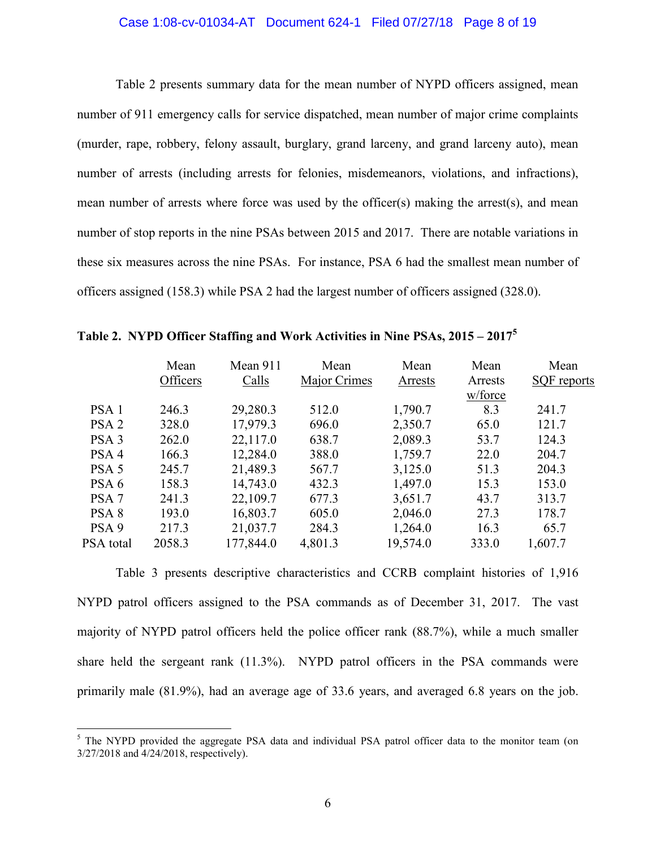# Case 1:08-cv-01034-AT Document 624-1 Filed 07/27/18 Page 8 of 19

Table 2 presents summary data for the mean number of NYPD officers assigned, mean number of 911 emergency calls for service dispatched, mean number of major crime complaints (murder, rape, robbery, felony assault, burglary, grand larceny, and grand larceny auto), mean number of arrests (including arrests for felonies, misdemeanors, violations, and infractions), mean number of arrests where force was used by the officer(s) making the arrest(s), and mean number of stop reports in the nine PSAs between 2015 and 2017. There are notable variations in these six measures across the nine PSAs. For instance, PSA 6 had the smallest mean number of officers assigned (158.3) while PSA 2 had the largest number of officers assigned (328.0).

|                  | Mean<br>Officers | Mean 911<br>Calls | Mean<br>Major Crimes | Mean<br>Arrests | Mean<br>Arrests | Mean<br><b>SQF</b> reports |
|------------------|------------------|-------------------|----------------------|-----------------|-----------------|----------------------------|
|                  |                  |                   |                      |                 | w/force         |                            |
| PSA <sub>1</sub> | 246.3            | 29,280.3          | 512.0                | 1,790.7         | 8.3             | 241.7                      |
| PSA <sub>2</sub> | 328.0            | 17,979.3          | 696.0                | 2,350.7         | 65.0            | 121.7                      |
| PSA <sub>3</sub> | 262.0            | 22,117.0          | 638.7                | 2,089.3         | 53.7            | 124.3                      |
| PSA <sub>4</sub> | 166.3            | 12,284.0          | 388.0                | 1,759.7         | 22.0            | 204.7                      |
| PSA <sub>5</sub> | 245.7            | 21,489.3          | 567.7                | 3,125.0         | 51.3            | 204.3                      |
| PSA 6            | 158.3            | 14,743.0          | 432.3                | 1,497.0         | 15.3            | 153.0                      |
| PSA <sub>7</sub> | 241.3            | 22,109.7          | 677.3                | 3,651.7         | 43.7            | 313.7                      |
| PSA <sub>8</sub> | 193.0            | 16,803.7          | 605.0                | 2,046.0         | 27.3            | 178.7                      |
| PSA <sub>9</sub> | 217.3            | 21,037.7          | 284.3                | 1,264.0         | 16.3            | 65.7                       |
| PSA total        | 2058.3           | 177,844.0         | 4,801.3              | 19,574.0        | 333.0           | 1,607.7                    |

**Table 2. NYPD Officer Staffing and Work Activities in Nine PSAs, 2015 – 2017<sup>5</sup>**

Table 3 presents descriptive characteristics and CCRB complaint histories of 1,916 NYPD patrol officers assigned to the PSA commands as of December 31, 2017. The vast majority of NYPD patrol officers held the police officer rank (88.7%), while a much smaller share held the sergeant rank (11.3%). NYPD patrol officers in the PSA commands were primarily male (81.9%), had an average age of 33.6 years, and averaged 6.8 years on the job.

<sup>&</sup>lt;sup>5</sup> The NYPD provided the aggregate PSA data and individual PSA patrol officer data to the monitor team (on 3/27/2018 and 4/24/2018, respectively).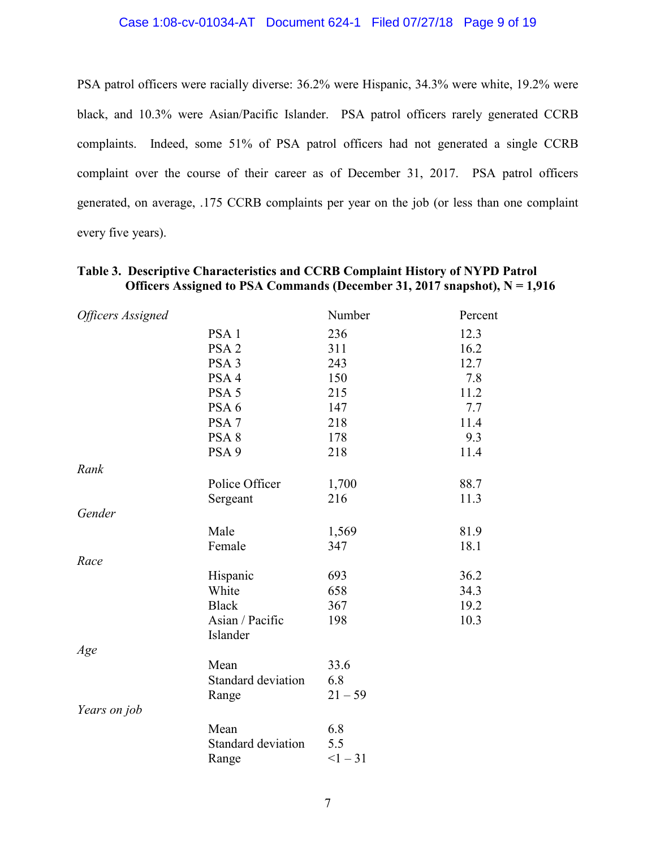# Case 1:08-cv-01034-AT Document 624-1 Filed 07/27/18 Page 9 of 19

PSA patrol officers were racially diverse: 36.2% were Hispanic, 34.3% were white, 19.2% were black, and 10.3% were Asian/Pacific Islander. PSA patrol officers rarely generated CCRB complaints. Indeed, some 51% of PSA patrol officers had not generated a single CCRB complaint over the course of their career as of December 31, 2017. PSA patrol officers generated, on average, .175 CCRB complaints per year on the job (or less than one complaint every five years).

| <b>Officers Assigned</b> |                    | Number    | Percent |
|--------------------------|--------------------|-----------|---------|
|                          | PSA <sub>1</sub>   | 236       | 12.3    |
|                          | PSA <sub>2</sub>   | 311       | 16.2    |
|                          | PSA <sub>3</sub>   | 243       | 12.7    |
|                          | PSA <sub>4</sub>   | 150       | 7.8     |
|                          | PSA <sub>5</sub>   | 215       | 11.2    |
|                          | PSA <sub>6</sub>   | 147       | 7.7     |
|                          | PSA <sub>7</sub>   | 218       | 11.4    |
|                          | PSA <sub>8</sub>   | 178       | 9.3     |
|                          | PSA <sub>9</sub>   | 218       | 11.4    |
| Rank                     |                    |           |         |
|                          | Police Officer     | 1,700     | 88.7    |
|                          | Sergeant           | 216       | 11.3    |
| Gender                   |                    |           |         |
|                          | Male               | 1,569     | 81.9    |
|                          | Female             | 347       | 18.1    |
| Race                     |                    |           |         |
|                          | Hispanic           | 693       | 36.2    |
|                          | White              | 658       | 34.3    |
|                          | <b>Black</b>       | 367       | 19.2    |
|                          | Asian / Pacific    | 198       | 10.3    |
|                          | Islander           |           |         |
| Age                      |                    |           |         |
|                          | Mean               | 33.6      |         |
|                          | Standard deviation | 6.8       |         |
|                          | Range              | $21 - 59$ |         |
| Years on job             |                    |           |         |
|                          | Mean               | 6.8       |         |
|                          | Standard deviation | 5.5       |         |
|                          | Range              | $<1 - 31$ |         |

# **Table 3. Descriptive Characteristics and CCRB Complaint History of NYPD Patrol Officers Assigned to PSA Commands (December 31, 2017 snapshot), N = 1,916**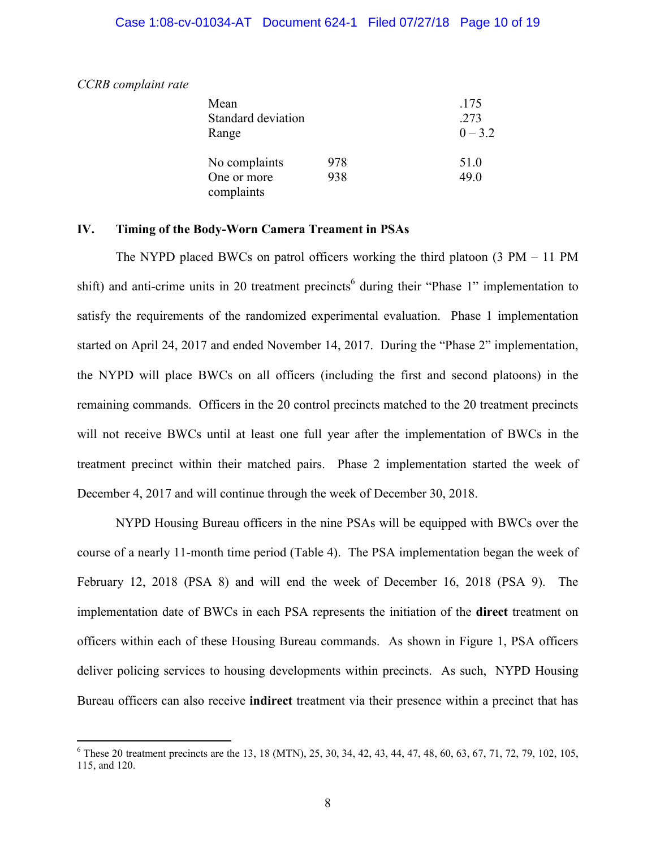# Case 1:08-cv-01034-AT Document 624-1 Filed 07/27/18 Page 10 of 19

*CCRB complaint rate* 

| Mean                      |     | .175      |
|---------------------------|-----|-----------|
| Standard deviation        |     | 273       |
| Range                     |     | $0 - 3.2$ |
| No complaints             | 978 | 51.0      |
| One or more<br>complaints | 938 | 49.0      |

# **IV. Timing of the Body-Worn Camera Treament in PSAs**

The NYPD placed BWCs on patrol officers working the third platoon (3 PM – 11 PM shift) and anti-crime units in 20 treatment precincts<sup>6</sup> during their "Phase 1" implementation to satisfy the requirements of the randomized experimental evaluation. Phase 1 implementation started on April 24, 2017 and ended November 14, 2017. During the "Phase 2" implementation, the NYPD will place BWCs on all officers (including the first and second platoons) in the remaining commands. Officers in the 20 control precincts matched to the 20 treatment precincts will not receive BWCs until at least one full year after the implementation of BWCs in the treatment precinct within their matched pairs. Phase 2 implementation started the week of December 4, 2017 and will continue through the week of December 30, 2018.

NYPD Housing Bureau officers in the nine PSAs will be equipped with BWCs over the course of a nearly 11-month time period (Table 4). The PSA implementation began the week of February 12, 2018 (PSA 8) and will end the week of December 16, 2018 (PSA 9). The implementation date of BWCs in each PSA represents the initiation of the **direct** treatment on officers within each of these Housing Bureau commands. As shown in Figure 1, PSA officers deliver policing services to housing developments within precincts. As such, NYPD Housing Bureau officers can also receive **indirect** treatment via their presence within a precinct that has

<sup>&</sup>lt;sup>6</sup> These 20 treatment precincts are the 13, 18 (MTN), 25, 30, 34, 42, 43, 44, 47, 48, 60, 63, 67, 71, 72, 79, 102, 105, 115, and 120.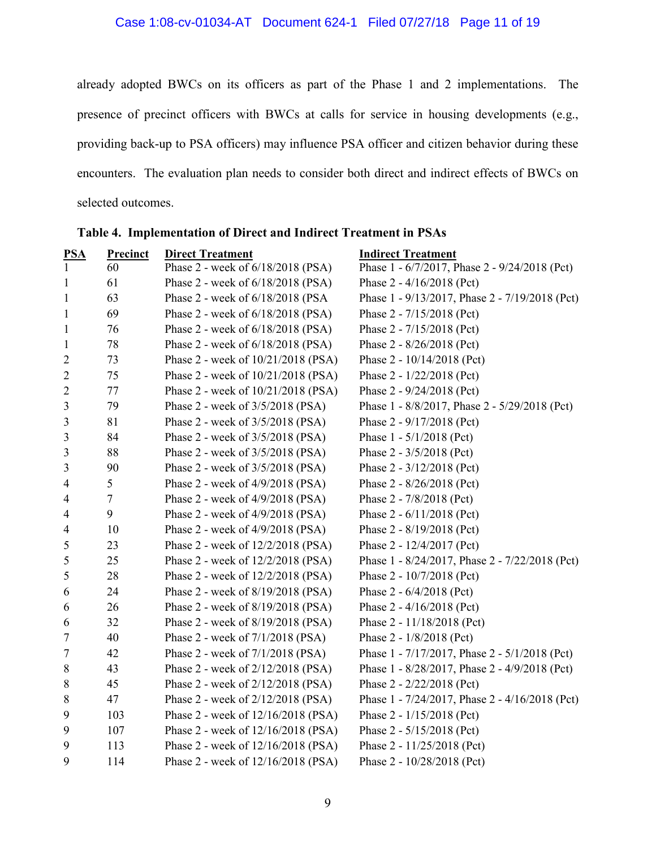already adopted BWCs on its officers as part of the Phase 1 and 2 implementations. The presence of precinct officers with BWCs at calls for service in housing developments (e.g., providing back-up to PSA officers) may influence PSA officer and citizen behavior during these encounters. The evaluation plan needs to consider both direct and indirect effects of BWCs on selected outcomes.

| <b>Precinct</b> | <b>Direct Treatment</b>            | <b>Indirect Treatment</b>                      |
|-----------------|------------------------------------|------------------------------------------------|
| 60              |                                    | Phase 1 - 6/7/2017, Phase 2 - 9/24/2018 (Pct)  |
| 61              | Phase 2 - week of 6/18/2018 (PSA)  | Phase 2 - 4/16/2018 (Pct)                      |
| 63              | Phase 2 - week of 6/18/2018 (PSA   | Phase 1 - 9/13/2017, Phase 2 - 7/19/2018 (Pct) |
| 69              | Phase 2 - week of 6/18/2018 (PSA)  | Phase 2 - 7/15/2018 (Pct)                      |
| 76              | Phase 2 - week of 6/18/2018 (PSA)  | Phase 2 - 7/15/2018 (Pct)                      |
| 78              | Phase 2 - week of 6/18/2018 (PSA)  | Phase 2 - 8/26/2018 (Pct)                      |
| 73              | Phase 2 - week of 10/21/2018 (PSA) | Phase 2 - 10/14/2018 (Pct)                     |
| 75              | Phase 2 - week of 10/21/2018 (PSA) | Phase 2 - 1/22/2018 (Pct)                      |
| 77              | Phase 2 - week of 10/21/2018 (PSA) | Phase 2 - 9/24/2018 (Pct)                      |
| 79              | Phase 2 - week of 3/5/2018 (PSA)   | Phase 1 - 8/8/2017, Phase 2 - 5/29/2018 (Pct)  |
| 81              | Phase 2 - week of 3/5/2018 (PSA)   | Phase 2 - 9/17/2018 (Pct)                      |
| 84              | Phase 2 - week of 3/5/2018 (PSA)   | Phase 1 - 5/1/2018 (Pct)                       |
| 88              | Phase 2 - week of 3/5/2018 (PSA)   | Phase 2 - 3/5/2018 (Pct)                       |
| 90              | Phase 2 - week of 3/5/2018 (PSA)   | Phase $2 - 3/12/2018$ (Pct)                    |
| 5               | Phase 2 - week of 4/9/2018 (PSA)   | Phase $2 - 8/26/2018$ (Pct)                    |
| $\overline{7}$  | Phase 2 - week of 4/9/2018 (PSA)   | Phase 2 - 7/8/2018 (Pct)                       |
| 9               | Phase 2 - week of 4/9/2018 (PSA)   | Phase 2 - 6/11/2018 (Pct)                      |
| 10              | Phase 2 - week of 4/9/2018 (PSA)   | Phase 2 - 8/19/2018 (Pct)                      |
| 23              | Phase 2 - week of 12/2/2018 (PSA)  | Phase 2 - 12/4/2017 (Pct)                      |
| 25              | Phase 2 - week of 12/2/2018 (PSA)  | Phase 1 - 8/24/2017, Phase 2 - 7/22/2018 (Pct) |
| 28              | Phase 2 - week of 12/2/2018 (PSA)  | Phase 2 - 10/7/2018 (Pct)                      |
| 24              | Phase 2 - week of 8/19/2018 (PSA)  | Phase 2 - 6/4/2018 (Pct)                       |
| 26              | Phase 2 - week of 8/19/2018 (PSA)  | Phase $2 - 4/16/2018$ (Pct)                    |
| 32              | Phase 2 - week of 8/19/2018 (PSA)  | Phase 2 - 11/18/2018 (Pct)                     |
| 40              | Phase 2 - week of 7/1/2018 (PSA)   | Phase 2 - 1/8/2018 (Pct)                       |
| 42              | Phase 2 - week of 7/1/2018 (PSA)   | Phase 1 - 7/17/2017, Phase 2 - 5/1/2018 (Pct)  |
| 43              | Phase 2 - week of 2/12/2018 (PSA)  | Phase 1 - 8/28/2017, Phase 2 - 4/9/2018 (Pct)  |
| 45              | Phase 2 - week of 2/12/2018 (PSA)  | Phase 2 - 2/22/2018 (Pct)                      |
| 47              | Phase 2 - week of 2/12/2018 (PSA)  | Phase 1 - 7/24/2017, Phase 2 - 4/16/2018 (Pct) |
| 103             | Phase 2 - week of 12/16/2018 (PSA) | Phase 2 - 1/15/2018 (Pct)                      |
| 107             | Phase 2 - week of 12/16/2018 (PSA) | Phase 2 - 5/15/2018 (Pct)                      |
| 113             | Phase 2 - week of 12/16/2018 (PSA) | Phase 2 - 11/25/2018 (Pct)                     |
| 114             | Phase 2 - week of 12/16/2018 (PSA) | Phase 2 - 10/28/2018 (Pct)                     |
|                 |                                    | Phase 2 - week of 6/18/2018 (PSA)              |

**Table 4. Implementation of Direct and Indirect Treatment in PSAs**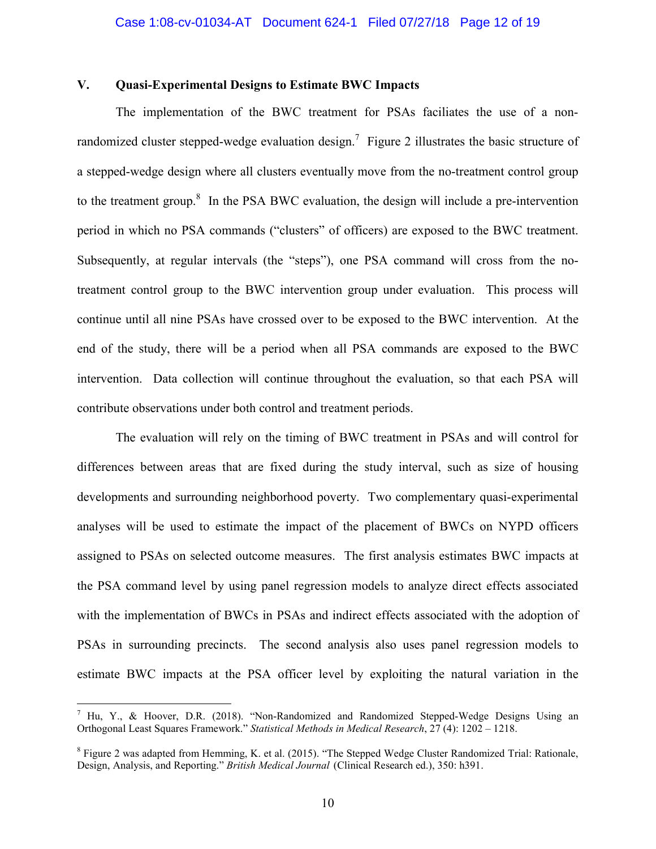# **V. Quasi-Experimental Designs to Estimate BWC Impacts**

The implementation of the BWC treatment for PSAs faciliates the use of a nonrandomized cluster stepped-wedge evaluation design.<sup>7</sup> Figure 2 illustrates the basic structure of a stepped-wedge design where all clusters eventually move from the no-treatment control group to the treatment group. $8$  In the PSA BWC evaluation, the design will include a pre-intervention period in which no PSA commands ("clusters" of officers) are exposed to the BWC treatment. Subsequently, at regular intervals (the "steps"), one PSA command will cross from the notreatment control group to the BWC intervention group under evaluation. This process will continue until all nine PSAs have crossed over to be exposed to the BWC intervention. At the end of the study, there will be a period when all PSA commands are exposed to the BWC intervention. Data collection will continue throughout the evaluation, so that each PSA will contribute observations under both control and treatment periods.

The evaluation will rely on the timing of BWC treatment in PSAs and will control for differences between areas that are fixed during the study interval, such as size of housing developments and surrounding neighborhood poverty. Two complementary quasi-experimental analyses will be used to estimate the impact of the placement of BWCs on NYPD officers assigned to PSAs on selected outcome measures. The first analysis estimates BWC impacts at the PSA command level by using panel regression models to analyze direct effects associated with the implementation of BWCs in PSAs and indirect effects associated with the adoption of PSAs in surrounding precincts. The second analysis also uses panel regression models to estimate BWC impacts at the PSA officer level by exploiting the natural variation in the

<sup>&</sup>lt;sup>7</sup> Hu, Y., & Hoover, D.R. (2018). "Non-Randomized and Randomized Stepped-Wedge Designs Using an Orthogonal Least Squares Framework." *Statistical Methods in Medical Research*, 27 (4): 1202 – 1218.

 $8$  Figure 2 was adapted from Hemming, K. et al. (2015). "The Stepped Wedge Cluster Randomized Trial: Rationale, Design, Analysis, and Reporting." *British Medical Journal* (Clinical Research ed.), 350: h391.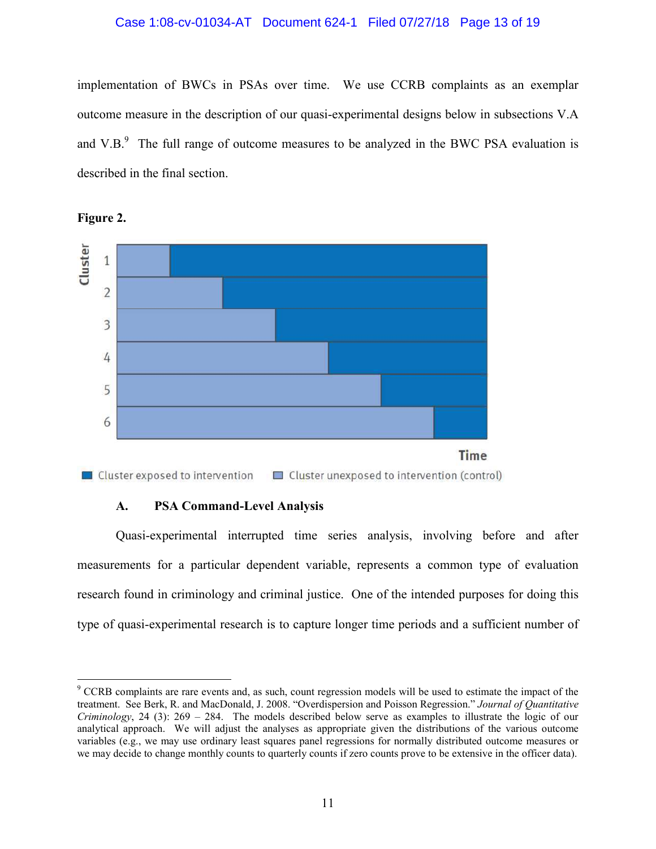# Case 1:08-cv-01034-AT Document 624-1 Filed 07/27/18 Page 13 of 19

implementation of BWCs in PSAs over time. We use CCRB complaints as an exemplar outcome measure in the description of our quasi-experimental designs below in subsections V.A and V.B. $<sup>9</sup>$  The full range of outcome measures to be analyzed in the BWC PSA evaluation is</sup> described in the final section.



**Figure 2.** 

# **A. PSA Command-Level Analysis**

Quasi-experimental interrupted time series analysis, involving before and after measurements for a particular dependent variable, represents a common type of evaluation research found in criminology and criminal justice. One of the intended purposes for doing this type of quasi-experimental research is to capture longer time periods and a sufficient number of

<sup>&</sup>lt;sup>9</sup> CCRB complaints are rare events and, as such, count regression models will be used to estimate the impact of the treatment. See Berk, R. and MacDonald, J. 2008. "Overdispersion and Poisson Regression." *Journal of Quantitative Criminology*, 24 (3): 269 – 284. The models described below serve as examples to illustrate the logic of our analytical approach. We will adjust the analyses as appropriate given the distributions of the various outcome variables (e.g., we may use ordinary least squares panel regressions for normally distributed outcome measures or we may decide to change monthly counts to quarterly counts if zero counts prove to be extensive in the officer data).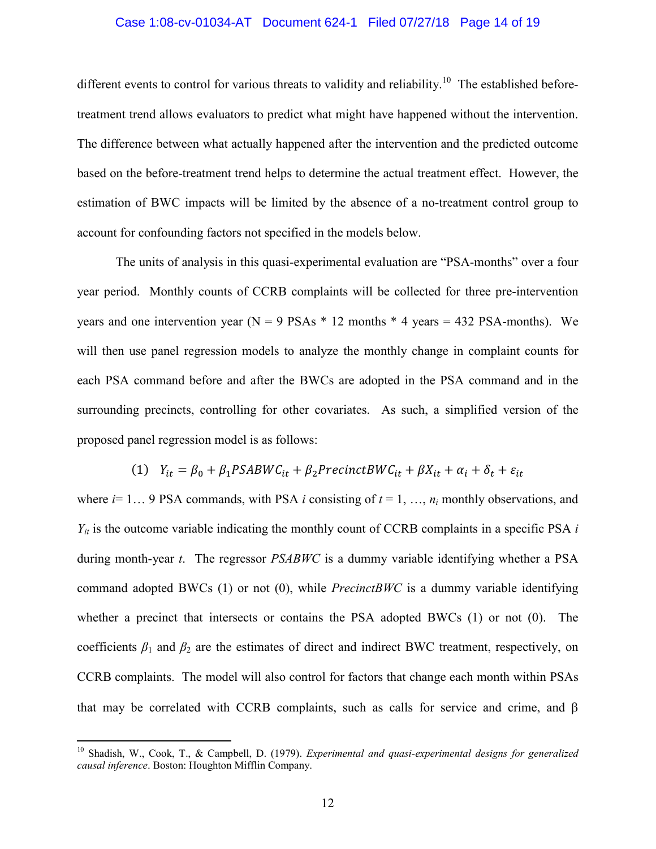#### Case 1:08-cv-01034-AT Document 624-1 Filed 07/27/18 Page 14 of 19

different events to control for various threats to validity and reliability.<sup>10</sup> The established beforetreatment trend allows evaluators to predict what might have happened without the intervention. The difference between what actually happened after the intervention and the predicted outcome based on the before-treatment trend helps to determine the actual treatment effect. However, the estimation of BWC impacts will be limited by the absence of a no-treatment control group to account for confounding factors not specified in the models below.

The units of analysis in this quasi-experimental evaluation are "PSA-months" over a four year period. Monthly counts of CCRB complaints will be collected for three pre-intervention vears and one intervention year ( $N = 9$  PSAs  $*$  12 months  $*$  4 years = 432 PSA-months). We will then use panel regression models to analyze the monthly change in complaint counts for each PSA command before and after the BWCs are adopted in the PSA command and in the surrounding precincts, controlling for other covariates. As such, a simplified version of the proposed panel regression model is as follows:

# (1)  $Y_{it} = \beta_0 + \beta_1 PSABWC_{it} + \beta_2 PrecinctBWC_{it} + \beta X_{it} + \alpha_i + \delta_t + \varepsilon_{it}$

where  $i=1...$  9 PSA commands, with PSA *i* consisting of  $t=1, ..., n_i$  monthly observations, and  $Y_{it}$  is the outcome variable indicating the monthly count of CCRB complaints in a specific PSA *i* during month-year *t*. The regressor *PSABWC* is a dummy variable identifying whether a PSA command adopted BWCs (1) or not (0), while *PrecinctBWC* is a dummy variable identifying whether a precinct that intersects or contains the PSA adopted BWCs (1) or not (0). The coefficients  $\beta_1$  and  $\beta_2$  are the estimates of direct and indirect BWC treatment, respectively, on CCRB complaints. The model will also control for factors that change each month within PSAs that may be correlated with CCRB complaints, such as calls for service and crime, and β

<sup>10</sup> Shadish, W., Cook, T., & Campbell, D. (1979). *Experimental and quasi-experimental designs for generalized causal inference*. Boston: Houghton Mifflin Company.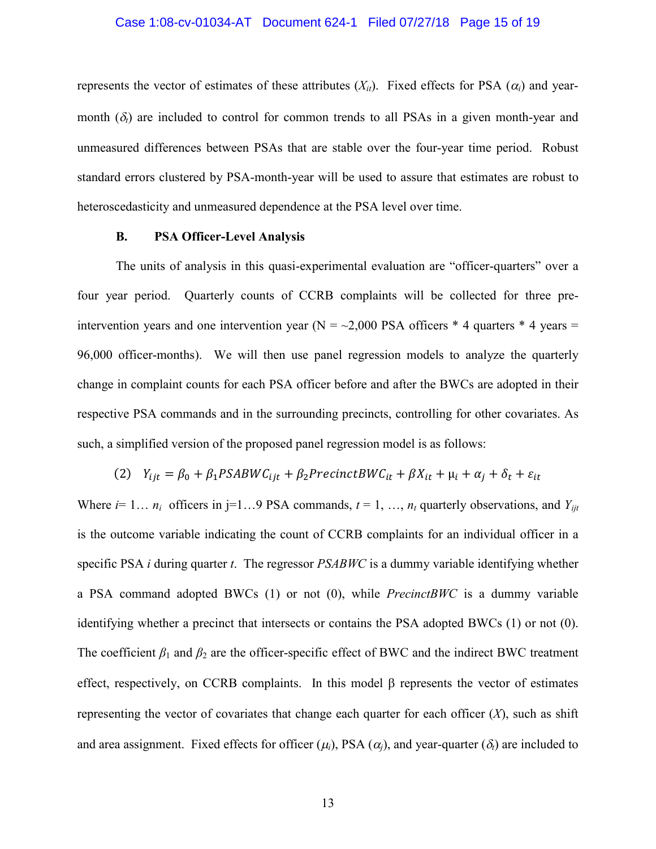# Case 1:08-cv-01034-AT Document 624-1 Filed 07/27/18 Page 15 of 19

represents the vector of estimates of these attributes  $(X_{it})$ . Fixed effects for PSA  $(\alpha_i)$  and yearmonth  $(\delta_t)$  are included to control for common trends to all PSAs in a given month-year and unmeasured differences between PSAs that are stable over the four-year time period. Robust standard errors clustered by PSA-month-year will be used to assure that estimates are robust to heteroscedasticity and unmeasured dependence at the PSA level over time.

# **B. PSA Officer-Level Analysis**

The units of analysis in this quasi-experimental evaluation are "officer-quarters" over a four year period. Quarterly counts of CCRB complaints will be collected for three preintervention years and one intervention year ( $N = -2,000$  PSA officers \* 4 quarters \* 4 years = 96,000 officer-months). We will then use panel regression models to analyze the quarterly change in complaint counts for each PSA officer before and after the BWCs are adopted in their respective PSA commands and in the surrounding precincts, controlling for other covariates. As such, a simplified version of the proposed panel regression model is as follows:

(2) 
$$
Y_{ijt} = \beta_0 + \beta_1 PSABWC_{ijt} + \beta_2 PrecisiontBWC_{it} + \beta X_{it} + \mu_i + \alpha_j + \delta_t + \varepsilon_{it}
$$

Where  $i=1... n_i$  officers in j=1...9 PSA commands,  $t=1,..., n_i$  quarterly observations, and  $Y_{ijt}$ is the outcome variable indicating the count of CCRB complaints for an individual officer in a specific PSA *i* during quarter *t*. The regressor *PSABWC* is a dummy variable identifying whether a PSA command adopted BWCs (1) or not (0), while *PrecinctBWC* is a dummy variable identifying whether a precinct that intersects or contains the PSA adopted BWCs (1) or not (0). The coefficient  $\beta_1$  and  $\beta_2$  are the officer-specific effect of BWC and the indirect BWC treatment effect, respectively, on CCRB complaints. In this model  $\beta$  represents the vector of estimates representing the vector of covariates that change each quarter for each officer  $(X)$ , such as shift and area assignment. Fixed effects for officer  $(\mu_i)$ , PSA  $(\alpha_i)$ , and year-quarter  $(\delta_i)$  are included to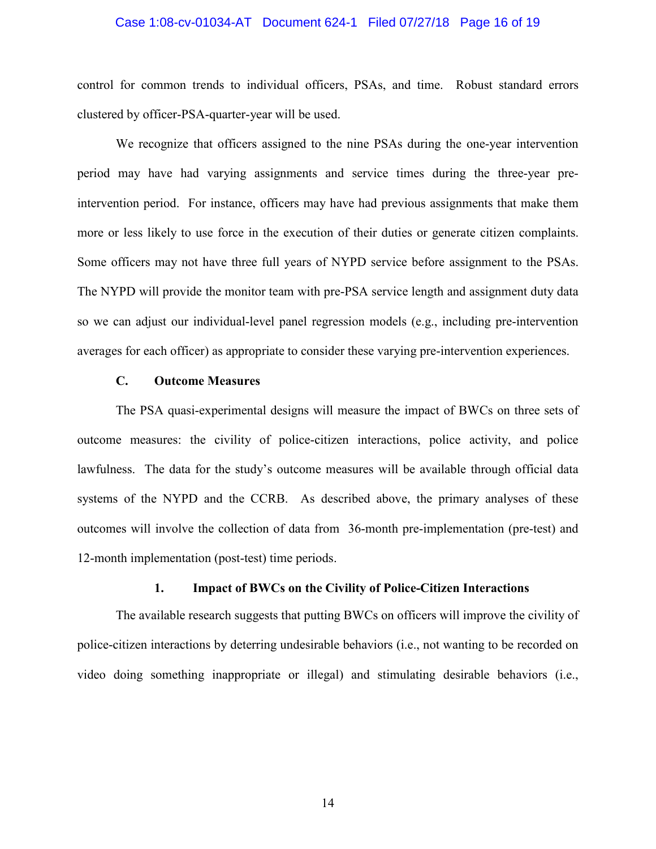# Case 1:08-cv-01034-AT Document 624-1 Filed 07/27/18 Page 16 of 19

control for common trends to individual officers, PSAs, and time. Robust standard errors clustered by officer-PSA-quarter-year will be used.

We recognize that officers assigned to the nine PSAs during the one-year intervention period may have had varying assignments and service times during the three-year preintervention period. For instance, officers may have had previous assignments that make them more or less likely to use force in the execution of their duties or generate citizen complaints. Some officers may not have three full years of NYPD service before assignment to the PSAs. The NYPD will provide the monitor team with pre-PSA service length and assignment duty data so we can adjust our individual-level panel regression models (e.g., including pre-intervention averages for each officer) as appropriate to consider these varying pre-intervention experiences.

# **C. Outcome Measures**

The PSA quasi-experimental designs will measure the impact of BWCs on three sets of outcome measures: the civility of police-citizen interactions, police activity, and police lawfulness. The data for the study's outcome measures will be available through official data systems of the NYPD and the CCRB. As described above, the primary analyses of these outcomes will involve the collection of data from 36-month pre-implementation (pre-test) and 12-month implementation (post-test) time periods.

# **1. Impact of BWCs on the Civility of Police-Citizen Interactions**

The available research suggests that putting BWCs on officers will improve the civility of police-citizen interactions by deterring undesirable behaviors (i.e., not wanting to be recorded on video doing something inappropriate or illegal) and stimulating desirable behaviors (i.e.,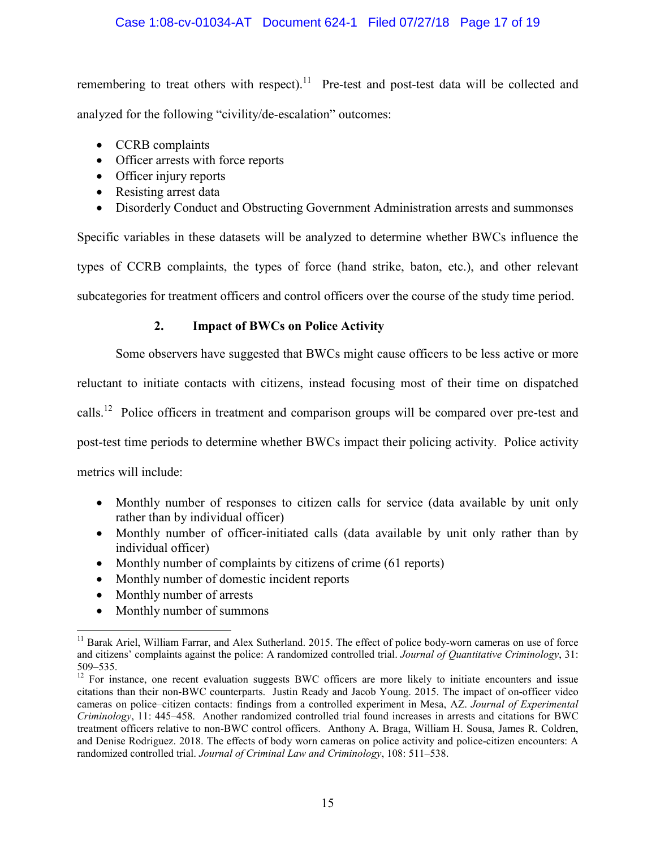# Case 1:08-cv-01034-AT Document 624-1 Filed 07/27/18 Page 17 of 19

remembering to treat others with respect).<sup>11</sup> Pre-test and post-test data will be collected and analyzed for the following "civility/de-escalation" outcomes:

- CCRB complaints
- Officer arrests with force reports
- Officer injury reports
- Resisting arrest data
- Disorderly Conduct and Obstructing Government Administration arrests and summonses

Specific variables in these datasets will be analyzed to determine whether BWCs influence the types of CCRB complaints, the types of force (hand strike, baton, etc.), and other relevant subcategories for treatment officers and control officers over the course of the study time period.

# **2. Impact of BWCs on Police Activity**

Some observers have suggested that BWCs might cause officers to be less active or more reluctant to initiate contacts with citizens, instead focusing most of their time on dispatched calls.<sup>12</sup> Police officers in treatment and comparison groups will be compared over pre-test and post-test time periods to determine whether BWCs impact their policing activity. Police activity metrics will include:

- Monthly number of responses to citizen calls for service (data available by unit only rather than by individual officer)
- Monthly number of officer-initiated calls (data available by unit only rather than by individual officer)
- Monthly number of complaints by citizens of crime (61 reports)
- Monthly number of domestic incident reports
- Monthly number of arrests
- Monthly number of summons

 $<sup>11</sup>$  Barak Ariel, William Farrar, and Alex Sutherland. 2015. The effect of police body-worn cameras on use of force</sup> and citizens' complaints against the police: A randomized controlled trial. *Journal of Quantitative Criminology*, 31: 509–535.

<sup>&</sup>lt;sup>12</sup> For instance, one recent evaluation suggests BWC officers are more likely to initiate encounters and issue citations than their non-BWC counterparts. Justin Ready and Jacob Young. 2015. The impact of on-officer video cameras on police–citizen contacts: findings from a controlled experiment in Mesa, AZ. *Journal of Experimental Criminology*, 11: 445–458. Another randomized controlled trial found increases in arrests and citations for BWC treatment officers relative to non-BWC control officers. Anthony A. Braga, William H. Sousa, James R. Coldren, and Denise Rodriguez. 2018. The effects of body worn cameras on police activity and police-citizen encounters: A randomized controlled trial. *Journal of Criminal Law and Criminology*, 108: 511–538.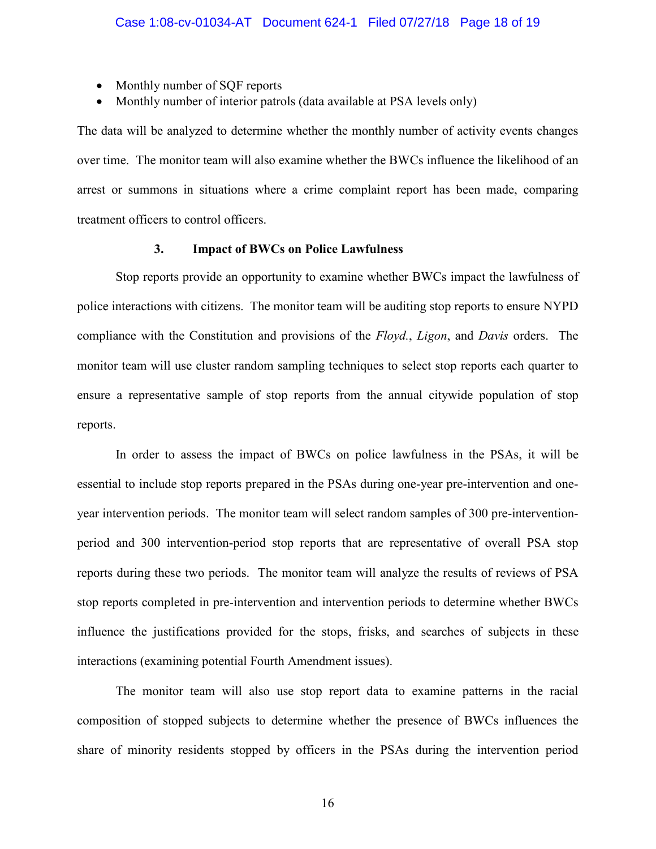- Monthly number of SQF reports
- Monthly number of interior patrols (data available at PSA levels only)

The data will be analyzed to determine whether the monthly number of activity events changes over time. The monitor team will also examine whether the BWCs influence the likelihood of an arrest or summons in situations where a crime complaint report has been made, comparing treatment officers to control officers.

# **3. Impact of BWCs on Police Lawfulness**

Stop reports provide an opportunity to examine whether BWCs impact the lawfulness of police interactions with citizens. The monitor team will be auditing stop reports to ensure NYPD compliance with the Constitution and provisions of the *Floyd.*, *Ligon*, and *Davis* orders. The monitor team will use cluster random sampling techniques to select stop reports each quarter to ensure a representative sample of stop reports from the annual citywide population of stop reports.

In order to assess the impact of BWCs on police lawfulness in the PSAs, it will be essential to include stop reports prepared in the PSAs during one-year pre-intervention and oneyear intervention periods. The monitor team will select random samples of 300 pre-interventionperiod and 300 intervention-period stop reports that are representative of overall PSA stop reports during these two periods. The monitor team will analyze the results of reviews of PSA stop reports completed in pre-intervention and intervention periods to determine whether BWCs influence the justifications provided for the stops, frisks, and searches of subjects in these interactions (examining potential Fourth Amendment issues).

The monitor team will also use stop report data to examine patterns in the racial composition of stopped subjects to determine whether the presence of BWCs influences the share of minority residents stopped by officers in the PSAs during the intervention period

16